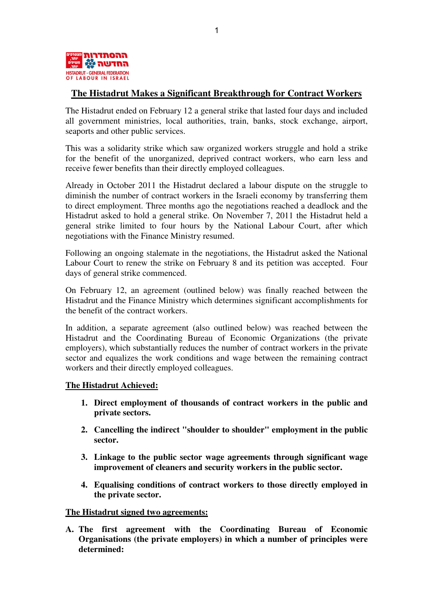

# **The Histadrut Makes a Significant Breakthrough for Contract Workers**

The Histadrut ended on February 12 a general strike that lasted four days and included all government ministries, local authorities, train, banks, stock exchange, airport, seaports and other public services.

This was a solidarity strike which saw organized workers struggle and hold a strike for the benefit of the unorganized, deprived contract workers, who earn less and receive fewer benefits than their directly employed colleagues.

Already in October 2011 the Histadrut declared a labour dispute on the struggle to diminish the number of contract workers in the Israeli economy by transferring them to direct employment. Three months ago the negotiations reached a deadlock and the Histadrut asked to hold a general strike. On November 7, 2011 the Histadrut held a general strike limited to four hours by the National Labour Court, after which negotiations with the Finance Ministry resumed.

Following an ongoing stalemate in the negotiations, the Histadrut asked the National Labour Court to renew the strike on February 8 and its petition was accepted. Four days of general strike commenced.

On February 12, an agreement (outlined below) was finally reached between the Histadrut and the Finance Ministry which determines significant accomplishments for the benefit of the contract workers.

In addition, a separate agreement (also outlined below) was reached between the Histadrut and the Coordinating Bureau of Economic Organizations (the private employers), which substantially reduces the number of contract workers in the private sector and equalizes the work conditions and wage between the remaining contract workers and their directly employed colleagues.

## **The Histadrut Achieved:**

- **1. Direct employment of thousands of contract workers in the public and private sectors.**
- **2. Cancelling the indirect "shoulder to shoulder" employment in the public sector.**
- **3. Linkage to the public sector wage agreements through significant wage improvement of cleaners and security workers in the public sector.**
- **4. Equalising conditions of contract workers to those directly employed in the private sector.**

## **The Histadrut signed two agreements:**

**A. The first agreement with the Coordinating Bureau of Economic Organisations (the private employers) in which a number of principles were determined:**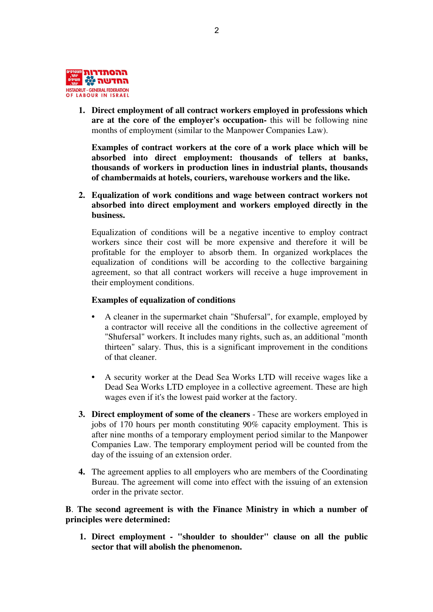

**1. Direct employment of all contract workers employed in professions which are at the core of the employer's occupation-** this will be following nine months of employment (similar to the Manpower Companies Law).

**Examples of contract workers at the core of a work place which will be absorbed into direct employment: thousands of tellers at banks, thousands of workers in production lines in industrial plants, thousands of chambermaids at hotels, couriers, warehouse workers and the like.** 

**2. Equalization of work conditions and wage between contract workers not absorbed into direct employment and workers employed directly in the business.** 

Equalization of conditions will be a negative incentive to employ contract workers since their cost will be more expensive and therefore it will be profitable for the employer to absorb them. In organized workplaces the equalization of conditions will be according to the collective bargaining agreement, so that all contract workers will receive a huge improvement in their employment conditions.

#### **Examples of equalization of conditions**

- **•** A cleaner in the supermarket chain "Shufersal", for example, employed by a contractor will receive all the conditions in the collective agreement of "Shufersal" workers. It includes many rights, such as, an additional "month thirteen" salary. Thus, this is a significant improvement in the conditions of that cleaner.
- **•** A security worker at the Dead Sea Works LTD will receive wages like a Dead Sea Works LTD employee in a collective agreement. These are high wages even if it's the lowest paid worker at the factory.
- **3. Direct employment of some of the cleaners** These are workers employed in jobs of 170 hours per month constituting 90% capacity employment. This is after nine months of a temporary employment period similar to the Manpower Companies Law. The temporary employment period will be counted from the day of the issuing of an extension order.
- **4.** The agreement applies to all employers who are members of the Coordinating Bureau. The agreement will come into effect with the issuing of an extension order in the private sector.

# **B**. **The second agreement is with the Finance Ministry in which a number of principles were determined:**

 **1. Direct employment - "shoulder to shoulder" clause on all the public sector that will abolish the phenomenon.**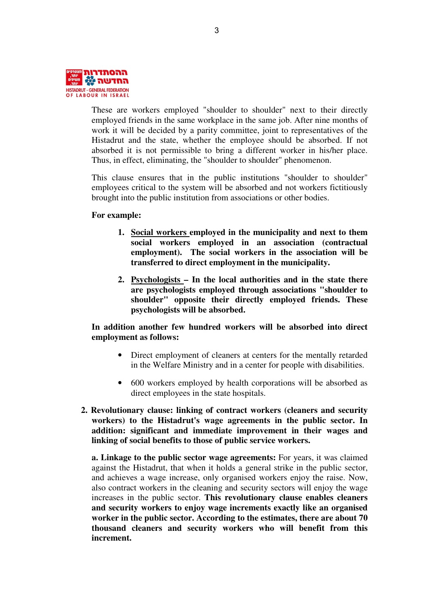

These are workers employed "shoulder to shoulder" next to their directly employed friends in the same workplace in the same job. After nine months of work it will be decided by a parity committee, joint to representatives of the Histadrut and the state, whether the employee should be absorbed. If not absorbed it is not permissible to bring a different worker in his/her place. Thus, in effect, eliminating, the "shoulder to shoulder" phenomenon.

This clause ensures that in the public institutions "shoulder to shoulder" employees critical to the system will be absorbed and not workers fictitiously brought into the public institution from associations or other bodies.

#### **For example:**

- **1. Social workers employed in the municipality and next to them social workers employed in an association (contractual employment). The social workers in the association will be transferred to direct employment in the municipality.**
- **2. Psychologists In the local authorities and in the state there are psychologists employed through associations "shoulder to shoulder" opposite their directly employed friends. These psychologists will be absorbed.**

# **In addition another few hundred workers will be absorbed into direct employment as follows:**

- Direct employment of cleaners at centers for the mentally retarded in the Welfare Ministry and in a center for people with disabilities.
- 600 workers employed by health corporations will be absorbed as direct employees in the state hospitals.
- **2. Revolutionary clause: linking of contract workers (cleaners and security workers) to the Histadrut's wage agreements in the public sector. In addition: significant and immediate improvement in their wages and linking of social benefits to those of public service workers.**

**a. Linkage to the public sector wage agreements:** For years, it was claimed against the Histadrut, that when it holds a general strike in the public sector, and achieves a wage increase, only organised workers enjoy the raise. Now, also contract workers in the cleaning and security sectors will enjoy the wage increases in the public sector. **This revolutionary clause enables cleaners and security workers to enjoy wage increments exactly like an organised worker in the public sector. According to the estimates, there are about 70 thousand cleaners and security workers who will benefit from this increment.**